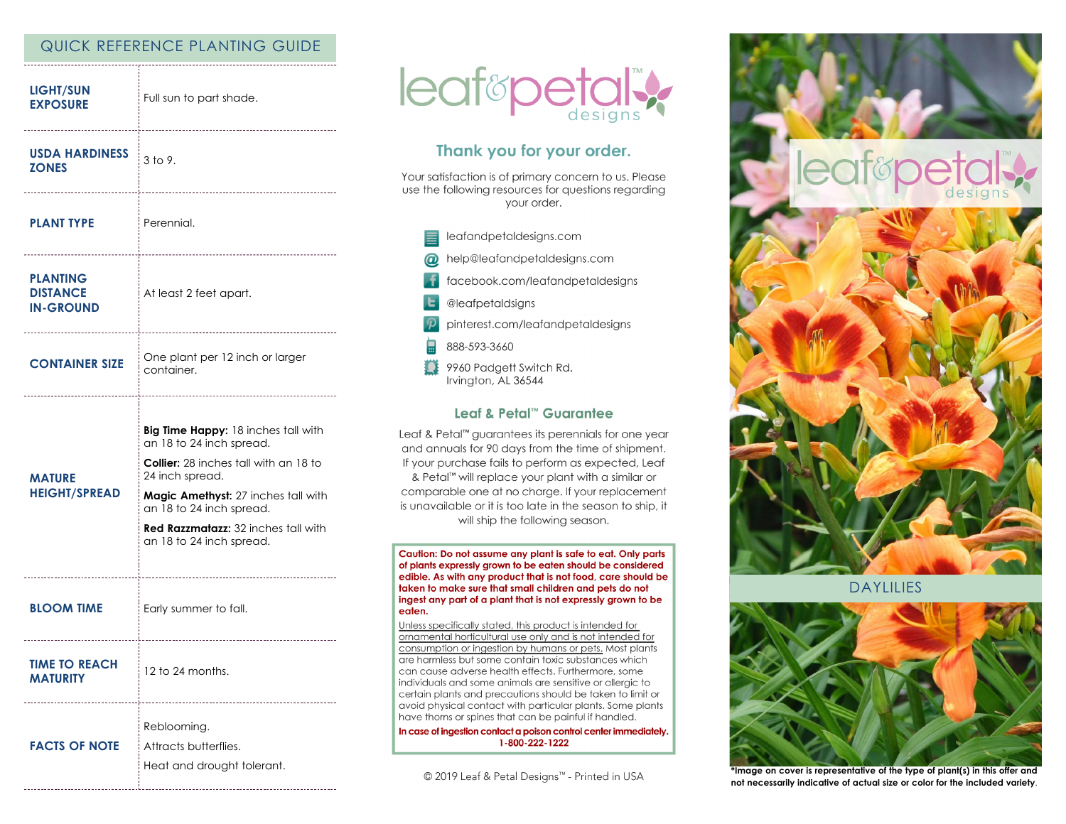# QUICK REFERENCE PLANTING GUIDE

| <b>LIGHT/SUN</b><br><b>EXPOSURE</b>                    | Full sun to part shade.                                                                                                                                                                                                                                                         |
|--------------------------------------------------------|---------------------------------------------------------------------------------------------------------------------------------------------------------------------------------------------------------------------------------------------------------------------------------|
| <b>USDA HARDINESS</b><br><b>ZONES</b>                  | 3 to 9.                                                                                                                                                                                                                                                                         |
| <b>PLANT TYPE</b>                                      | <sup>i</sup> Perennial.                                                                                                                                                                                                                                                         |
| <b>PLANTING</b><br><b>DISTANCE</b><br><b>IN-GROUND</b> | At least 2 feet apart.                                                                                                                                                                                                                                                          |
| <b>CONTAINER SIZE</b>                                  | One plant per 12 inch or larger<br>container.                                                                                                                                                                                                                                   |
|                                                        |                                                                                                                                                                                                                                                                                 |
| <b>MATURE</b><br><b>HEIGHT/SPREAD</b>                  | Big Time Happy: 18 inches tall with<br>an 18 to 24 inch spread.<br><b>Collier:</b> 28 inches tall with an 18 to<br>24 inch spread.<br>Magic Amethyst: 27 inches tall with<br>an 18 to 24 inch spread.<br><b>Red Razzmatazz: 32 inches tall with</b><br>an 18 to 24 inch spread. |
| <b>BLOOM TIME</b>                                      | Early summer to fall.                                                                                                                                                                                                                                                           |
| <b>TIME TO REACH</b><br><b>MATURITY</b>                | 12 to 24 months.                                                                                                                                                                                                                                                                |



# Thank you for your order.

Your satisfaction is of primary concern to us. Please use the following resources for questions regarding your order.

leafandpetaldesigns.com help@leafandpetaldesigns.com  $\omega$ facebook.com/leafandpetaldesigns @leafpetaldsigns pinterest.com/leafandpetaldesigns 888-593-3660 n 9960 Padgett Switch Rd. Irvington, AL 36544

#### Leaf & Petal™ Guarantee

Leaf & Petal<sup>™</sup> guarantees its perennials for one year and annuals for 90 days from the time of shipment. If your purchase fails to perform as expected, Leaf & Petal™ will replace your plant with a similar or comparable one at no charge. If your replacement is unavailable or it is too late in the season to ship, it will ship the following season.

Caution: Do not assume any plant is safe to eat. Only parts of plants expressly grown to be eaten should be considered edible. As with any product that is not food, care should be taken to make sure that small children and pets do not ingest any part of a plant that is not expressly grown to be eaten.

Unless specifically stated, this product is intended for ornamental horticultural use only and is not intended for consumption or ingestion by humans or pets. Most plants are harmless but some contain toxic substances which can cause adverse health effects. Furthermore, some individuals and some animals are sensitive or allergic to certain plants and precautions should be taken to limit or avoid physical contact with particular plants. Some plants have thorns or spines that can be painful if handled.

In case of ingestion contact a poison control center immediately. 1-800-222-1222

© 2019 Leaf & Petal Designs™ - Printed in USA



DAYLILIES



**\*Image on cover is representative of the type of plant(s) in this offer and not necessarily indicative of actual size or color for the included variety**.